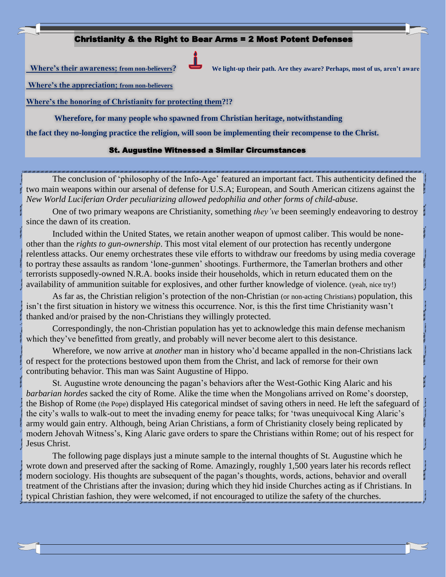## Christianity & the Right to Bear Arms = 2 Most Potent Defenses



 **Where's their awareness; from non-believers? We light-up their path. Are they aware? Perhaps, most of us, aren't aware** 

**Where's the appreciation; from non-believers**

**Where's the honoring of Christianity for protecting them?!?**

**Wherefore, for many people who spawned from Christian heritage, notwithstanding** 

**the fact they no-longing practice the religion, will soon be implementing their recompense to the Christ.**

## St. Augustine Witnessed a Similar Circumstances

The conclusion of 'philosophy of the Info-Age' featured an important fact. This authenticity defined the two main weapons within our arsenal of defense for U.S.A; European, and South American citizens against the *New World Luciferian Order peculiarizing allowed pedophilia and other forms of child-abuse*.

One of two primary weapons are Christianity, something *they've* been seemingly endeavoring to destroy since the dawn of its creation.

Included within the United States, we retain another weapon of upmost caliber. This would be noneother than the *rights to gun-ownership*. This most vital element of our protection has recently undergone relentless attacks. Our enemy orchestrates these vile efforts to withdraw our freedoms by using media coverage to portray these assaults as random 'lone-gunmen' shootings. Furthermore, the Tamerlan brothers and other terrorists supposedly-owned N.R.A. books inside their households, which in return educated them on the availability of ammunition suitable for explosives, and other further knowledge of violence. (yeah, nice try!)

As far as, the Christian religion's protection of the non-Christian (or non-acting Christians) population, this isn't the first situation in history we witness this occurrence. Nor, is this the first time Christianity wasn't thanked and/or praised by the non-Christians they willingly protected.

Correspondingly, the non-Christian population has yet to acknowledge this main defense mechanism which they've benefitted from greatly, and probably will never become alert to this desistance.

Wherefore, we now arrive at *another* man in history who'd became appalled in the non-Christians lack of respect for the protections bestowed upon them from the Christ, and lack of remorse for their own contributing behavior. This man was Saint Augustine of Hippo.

St. Augustine wrote denouncing the pagan's behaviors after the West-Gothic King Alaric and his *barbarian hordes* sacked the city of Rome. Alike the time when the Mongolians arrived on Rome's doorstep, the Bishop of Rome (the Pope) displayed His categorical mindset of saving others in need. He left the safeguard of the city's walls to walk-out to meet the invading enemy for peace talks; for 'twas unequivocal King Alaric's army would gain entry. Although, being Arian Christians, a form of Christianity closely being replicated by modern Jehovah Witness's, King Alaric gave orders to spare the Christians within Rome; out of his respect for Jesus Christ.

The following page displays just a minute sample to the internal thoughts of St. Augustine which he wrote down and preserved after the sacking of Rome. Amazingly, roughly 1,500 years later his records reflect modern sociology. His thoughts are subsequent of the pagan's thoughts, words, actions, behavior and overall treatment of the Christians after the invasion; during which they hid inside Churches acting as if Christians. In typical Christian fashion, they were welcomed, if not encouraged to utilize the safety of the churches.